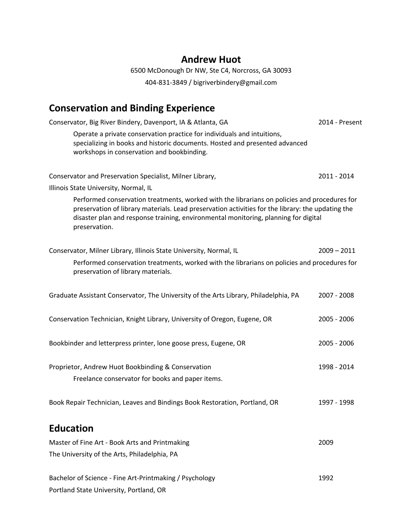### **Andrew Huot**

6500 McDonough Dr NW, Ste C4, Norcross, GA 30093 404-831-3849 / bigriverbindery@gmail.com

## **Conservation and Binding Experience**

| Conservator, Big River Bindery, Davenport, IA & Atlanta, GA                                                                                                                                                                                                                                               | 2014 - Present |
|-----------------------------------------------------------------------------------------------------------------------------------------------------------------------------------------------------------------------------------------------------------------------------------------------------------|----------------|
| Operate a private conservation practice for individuals and intuitions,<br>specializing in books and historic documents. Hosted and presented advanced<br>workshops in conservation and bookbinding.                                                                                                      |                |
| Conservator and Preservation Specialist, Milner Library,                                                                                                                                                                                                                                                  | 2011 - 2014    |
| Illinois State University, Normal, IL                                                                                                                                                                                                                                                                     |                |
| Performed conservation treatments, worked with the librarians on policies and procedures for<br>preservation of library materials. Lead preservation activities for the library: the updating the<br>disaster plan and response training, environmental monitoring, planning for digital<br>preservation. |                |
| Conservator, Milner Library, Illinois State University, Normal, IL                                                                                                                                                                                                                                        | $2009 - 2011$  |
| Performed conservation treatments, worked with the librarians on policies and procedures for<br>preservation of library materials.                                                                                                                                                                        |                |
| Graduate Assistant Conservator, The University of the Arts Library, Philadelphia, PA                                                                                                                                                                                                                      | 2007 - 2008    |
| Conservation Technician, Knight Library, University of Oregon, Eugene, OR                                                                                                                                                                                                                                 | 2005 - 2006    |
| Bookbinder and letterpress printer, lone goose press, Eugene, OR                                                                                                                                                                                                                                          | 2005 - 2006    |
| Proprietor, Andrew Huot Bookbinding & Conservation                                                                                                                                                                                                                                                        | 1998 - 2014    |
| Freelance conservator for books and paper items.                                                                                                                                                                                                                                                          |                |
| Book Repair Technician, Leaves and Bindings Book Restoration, Portland, OR                                                                                                                                                                                                                                | 1997 - 1998    |
| <b>Education</b>                                                                                                                                                                                                                                                                                          |                |
| Master of Fine Art - Book Arts and Printmaking                                                                                                                                                                                                                                                            | 2009           |
| The University of the Arts, Philadelphia, PA                                                                                                                                                                                                                                                              |                |
| Bachelor of Science - Fine Art-Printmaking / Psychology<br>Portland State University, Portland, OR                                                                                                                                                                                                        | 1992           |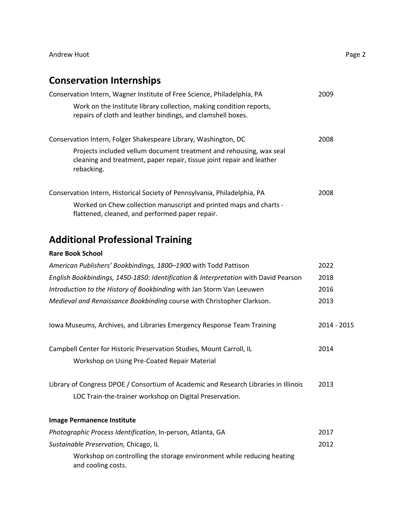## **Conservation Internships**

| Conservation Intern, Wagner Institute of Free Science, Philadelphia, PA                                                                                    | 2009 |
|------------------------------------------------------------------------------------------------------------------------------------------------------------|------|
| Work on the Institute library collection, making condition reports,<br>repairs of cloth and leather bindings, and clamshell boxes.                         |      |
| Conservation Intern, Folger Shakespeare Library, Washington, DC                                                                                            | 2008 |
| Projects included vellum document treatment and rehousing, wax seal<br>cleaning and treatment, paper repair, tissue joint repair and leather<br>rebacking. |      |
| Conservation Intern, Historical Society of Pennsylvania, Philadelphia, PA                                                                                  | 2008 |
| Worked on Chew collection manuscript and printed maps and charts -<br>flattened, cleaned, and performed paper repair.                                      |      |

## **Additional Professional Training**

#### **Rare Book School**

| American Publishers' Bookbindings, 1800–1900 with Todd Pattison                                                                                 | 2022        |
|-------------------------------------------------------------------------------------------------------------------------------------------------|-------------|
| English Bookbindings, 1450-1850: Identification & Interpretation with David Pearson                                                             | 2018        |
| Introduction to the History of Bookbinding with Jan Storm Van Leeuwen                                                                           | 2016        |
| Medieval and Renaissance Bookbinding course with Christopher Clarkson.                                                                          | 2013        |
| lowa Museums, Archives, and Libraries Emergency Response Team Training                                                                          | 2014 - 2015 |
| Campbell Center for Historic Preservation Studies, Mount Carroll, IL<br>Workshop on Using Pre-Coated Repair Material                            | 2014        |
| Library of Congress DPOE / Consortium of Academic and Research Libraries in Illinois<br>LOC Train-the-trainer workshop on Digital Preservation. | 2013        |
| <b>Image Permanence Institute</b>                                                                                                               |             |
| Photographic Process Identification, In-person, Atlanta, GA                                                                                     | 2017        |
| Sustainable Preservation, Chicago, IL                                                                                                           | 2012        |
| Workshop on controlling the storage environment while reducing heating<br>and cooling costs.                                                    |             |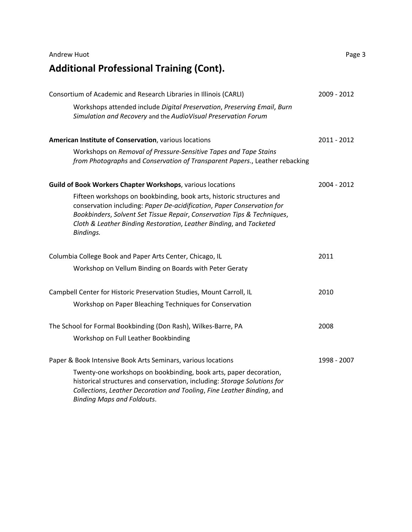| <b>Additional Professional Training (Cont).</b>                                                                                                                                                                                                                                                              |             |
|--------------------------------------------------------------------------------------------------------------------------------------------------------------------------------------------------------------------------------------------------------------------------------------------------------------|-------------|
| Consortium of Academic and Research Libraries in Illinois (CARLI)                                                                                                                                                                                                                                            | 2009 - 2012 |
| Workshops attended include Digital Preservation, Preserving Email, Burn<br>Simulation and Recovery and the AudioVisual Preservation Forum                                                                                                                                                                    |             |
| American Institute of Conservation, various locations                                                                                                                                                                                                                                                        | 2011 - 2012 |
| Workshops on Removal of Pressure-Sensitive Tapes and Tape Stains<br>from Photographs and Conservation of Transparent Papers., Leather rebacking                                                                                                                                                              |             |
| Guild of Book Workers Chapter Workshops, various locations                                                                                                                                                                                                                                                   | 2004 - 2012 |
| Fifteen workshops on bookbinding, book arts, historic structures and<br>conservation including: Paper De-acidification, Paper Conservation for<br>Bookbinders, Solvent Set Tissue Repair, Conservation Tips & Techniques,<br>Cloth & Leather Binding Restoration, Leather Binding, and Tacketed<br>Bindings. |             |
| Columbia College Book and Paper Arts Center, Chicago, IL                                                                                                                                                                                                                                                     | 2011        |
| Workshop on Vellum Binding on Boards with Peter Geraty                                                                                                                                                                                                                                                       |             |
| Campbell Center for Historic Preservation Studies, Mount Carroll, IL                                                                                                                                                                                                                                         | 2010        |
| Workshop on Paper Bleaching Techniques for Conservation                                                                                                                                                                                                                                                      |             |
| The School for Formal Bookbinding (Don Rash), Wilkes-Barre, PA                                                                                                                                                                                                                                               | 2008        |
| Workshop on Full Leather Bookbinding                                                                                                                                                                                                                                                                         |             |
| Paper & Book Intensive Book Arts Seminars, various locations                                                                                                                                                                                                                                                 | 1998 - 2007 |
| Twenty-one workshops on bookbinding, book arts, paper decoration,<br>historical structures and conservation, including: Storage Solutions for<br>Collections, Leather Decoration and Tooling, Fine Leather Binding, and<br><b>Binding Maps and Foldouts.</b>                                                 |             |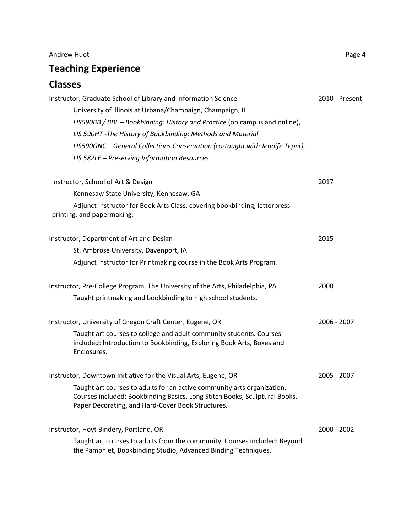# **Teaching Experience**

## **Classes**

| Instructor, Graduate School of Library and Information Science<br>University of Illinois at Urbana/Champaign, Champaign, IL<br>LIS590BB / BBL - Bookbinding: History and Practice (on campus and online),<br>LIS 590HT - The History of Bookbinding: Methods and Material<br>LIS590GNC - General Collections Conservation (co-taught with Jennife Teper),<br>LIS 582LE - Preserving Information Resources | 2010 - Present |
|-----------------------------------------------------------------------------------------------------------------------------------------------------------------------------------------------------------------------------------------------------------------------------------------------------------------------------------------------------------------------------------------------------------|----------------|
| Instructor, School of Art & Design                                                                                                                                                                                                                                                                                                                                                                        | 2017           |
| Kennesaw State University, Kennesaw, GA                                                                                                                                                                                                                                                                                                                                                                   |                |
| Adjunct instructor for Book Arts Class, covering bookbinding, letterpress<br>printing, and papermaking.                                                                                                                                                                                                                                                                                                   |                |
| Instructor, Department of Art and Design                                                                                                                                                                                                                                                                                                                                                                  | 2015           |
| St. Ambrose University, Davenport, IA                                                                                                                                                                                                                                                                                                                                                                     |                |
| Adjunct instructor for Printmaking course in the Book Arts Program.                                                                                                                                                                                                                                                                                                                                       |                |
| Instructor, Pre-College Program, The University of the Arts, Philadelphia, PA                                                                                                                                                                                                                                                                                                                             | 2008           |
| Taught printmaking and bookbinding to high school students.                                                                                                                                                                                                                                                                                                                                               |                |
| Instructor, University of Oregon Craft Center, Eugene, OR                                                                                                                                                                                                                                                                                                                                                 | 2006 - 2007    |
| Taught art courses to college and adult community students. Courses<br>included: Introduction to Bookbinding, Exploring Book Arts, Boxes and<br>Enclosures.                                                                                                                                                                                                                                               |                |
| Instructor, Downtown Initiative for the Visual Arts, Eugene, OR                                                                                                                                                                                                                                                                                                                                           | 2005 - 2007    |
| Taught art courses to adults for an active community arts organization.<br>Courses included: Bookbinding Basics, Long Stitch Books, Sculptural Books,<br>Paper Decorating, and Hard-Cover Book Structures.                                                                                                                                                                                                |                |
| Instructor, Hoyt Bindery, Portland, OR                                                                                                                                                                                                                                                                                                                                                                    | 2000 - 2002    |
| Taught art courses to adults from the community. Courses included: Beyond<br>the Pamphlet, Bookbinding Studio, Advanced Binding Techniques.                                                                                                                                                                                                                                                               |                |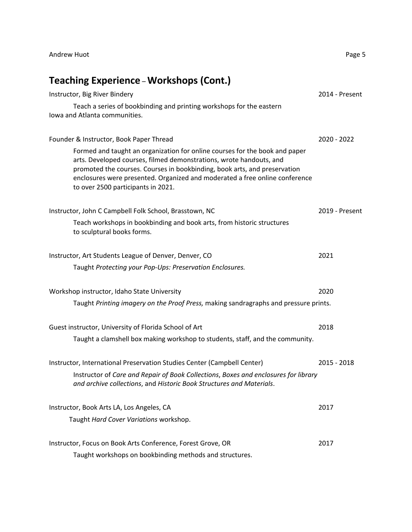# **Teaching Experience** – **Workshops (Cont.)**

| Instructor, Big River Bindery                                                                                                                                                                                                                                                                                                                        | 2014 - Present |
|------------------------------------------------------------------------------------------------------------------------------------------------------------------------------------------------------------------------------------------------------------------------------------------------------------------------------------------------------|----------------|
| Teach a series of bookbinding and printing workshops for the eastern<br>Iowa and Atlanta communities.                                                                                                                                                                                                                                                |                |
| Founder & Instructor, Book Paper Thread                                                                                                                                                                                                                                                                                                              | 2020 - 2022    |
| Formed and taught an organization for online courses for the book and paper<br>arts. Developed courses, filmed demonstrations, wrote handouts, and<br>promoted the courses. Courses in bookbinding, book arts, and preservation<br>enclosures were presented. Organized and moderated a free online conference<br>to over 2500 participants in 2021. |                |
| Instructor, John C Campbell Folk School, Brasstown, NC                                                                                                                                                                                                                                                                                               | 2019 - Present |
| Teach workshops in bookbinding and book arts, from historic structures<br>to sculptural books forms.                                                                                                                                                                                                                                                 |                |
| Instructor, Art Students League of Denver, Denver, CO                                                                                                                                                                                                                                                                                                | 2021           |
| Taught Protecting your Pop-Ups: Preservation Enclosures.                                                                                                                                                                                                                                                                                             |                |
| Workshop instructor, Idaho State University                                                                                                                                                                                                                                                                                                          | 2020           |
| Taught Printing imagery on the Proof Press, making sandragraphs and pressure prints.                                                                                                                                                                                                                                                                 |                |
| Guest instructor, University of Florida School of Art                                                                                                                                                                                                                                                                                                | 2018           |
| Taught a clamshell box making workshop to students, staff, and the community.                                                                                                                                                                                                                                                                        |                |
| Instructor, International Preservation Studies Center (Campbell Center)                                                                                                                                                                                                                                                                              | $2015 - 2018$  |
| Instructor of Care and Repair of Book Collections, Boxes and enclosures for library<br>and archive collections, and Historic Book Structures and Materials.                                                                                                                                                                                          |                |
| Instructor, Book Arts LA, Los Angeles, CA                                                                                                                                                                                                                                                                                                            | 2017           |
| Taught Hard Cover Variations workshop.                                                                                                                                                                                                                                                                                                               |                |
| Instructor, Focus on Book Arts Conference, Forest Grove, OR                                                                                                                                                                                                                                                                                          | 2017           |
| Taught workshops on bookbinding methods and structures.                                                                                                                                                                                                                                                                                              |                |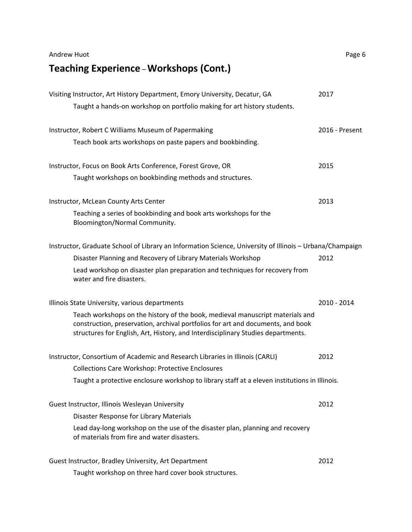**Teaching Experience** – **Workshops (Cont.)**

| Visiting Instructor, Art History Department, Emory University, Decatur, GA<br>Taught a hands-on workshop on portfolio making for art history students.                                                                                                                                                 | 2017           |
|--------------------------------------------------------------------------------------------------------------------------------------------------------------------------------------------------------------------------------------------------------------------------------------------------------|----------------|
| Instructor, Robert C Williams Museum of Papermaking<br>Teach book arts workshops on paste papers and bookbinding.                                                                                                                                                                                      | 2016 - Present |
| Instructor, Focus on Book Arts Conference, Forest Grove, OR<br>Taught workshops on bookbinding methods and structures.                                                                                                                                                                                 | 2015           |
| Instructor, McLean County Arts Center<br>Teaching a series of bookbinding and book arts workshops for the<br>Bloomington/Normal Community.                                                                                                                                                             | 2013           |
| Instructor, Graduate School of Library an Information Science, University of Illinois - Urbana/Champaign<br>Disaster Planning and Recovery of Library Materials Workshop<br>Lead workshop on disaster plan preparation and techniques for recovery from<br>water and fire disasters.                   | 2012           |
| Illinois State University, various departments<br>Teach workshops on the history of the book, medieval manuscript materials and<br>construction, preservation, archival portfolios for art and documents, and book<br>structures for English, Art, History, and Interdisciplinary Studies departments. | 2010 - 2014    |
| Instructor, Consortium of Academic and Research Libraries in Illinois (CARLI)<br><b>Collections Care Workshop: Protective Enclosures</b><br>Taught a protective enclosure workshop to library staff at a eleven institutions in Illinois.                                                              | 2012           |
| Guest Instructor, Illinois Wesleyan University<br>Disaster Response for Library Materials<br>Lead day-long workshop on the use of the disaster plan, planning and recovery<br>of materials from fire and water disasters.                                                                              | 2012           |
| Guest Instructor, Bradley University, Art Department<br>Taught workshop on three hard cover book structures.                                                                                                                                                                                           | 2012           |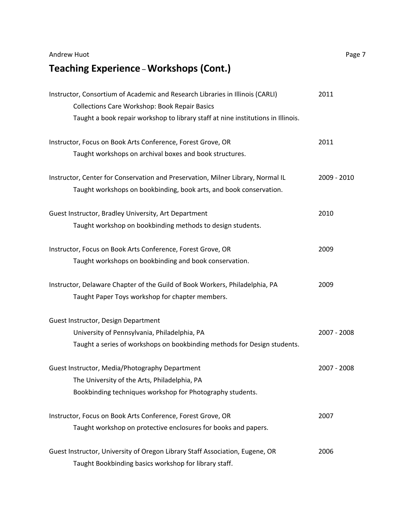**Teaching Experience** – **Workshops (Cont.)**

| Instructor, Consortium of Academic and Research Libraries in Illinois (CARLI)<br><b>Collections Care Workshop: Book Repair Basics</b> | 2011        |
|---------------------------------------------------------------------------------------------------------------------------------------|-------------|
| Taught a book repair workshop to library staff at nine institutions in Illinois.                                                      |             |
| Instructor, Focus on Book Arts Conference, Forest Grove, OR                                                                           | 2011        |
| Taught workshops on archival boxes and book structures.                                                                               |             |
| Instructor, Center for Conservation and Preservation, Milner Library, Normal IL                                                       | 2009 - 2010 |
| Taught workshops on bookbinding, book arts, and book conservation.                                                                    |             |
| Guest Instructor, Bradley University, Art Department                                                                                  | 2010        |
| Taught workshop on bookbinding methods to design students.                                                                            |             |
| Instructor, Focus on Book Arts Conference, Forest Grove, OR                                                                           | 2009        |
| Taught workshops on bookbinding and book conservation.                                                                                |             |
| Instructor, Delaware Chapter of the Guild of Book Workers, Philadelphia, PA                                                           | 2009        |
| Taught Paper Toys workshop for chapter members.                                                                                       |             |
| Guest Instructor, Design Department                                                                                                   |             |
| University of Pennsylvania, Philadelphia, PA                                                                                          | 2007 - 2008 |
| Taught a series of workshops on bookbinding methods for Design students.                                                              |             |
| Guest Instructor, Media/Photography Department                                                                                        | 2007 - 2008 |
| The University of the Arts, Philadelphia, PA                                                                                          |             |
| Bookbinding techniques workshop for Photography students.                                                                             |             |
| Instructor, Focus on Book Arts Conference, Forest Grove, OR                                                                           | 2007        |
| Taught workshop on protective enclosures for books and papers.                                                                        |             |
| Guest Instructor, University of Oregon Library Staff Association, Eugene, OR                                                          | 2006        |
| Taught Bookbinding basics workshop for library staff.                                                                                 |             |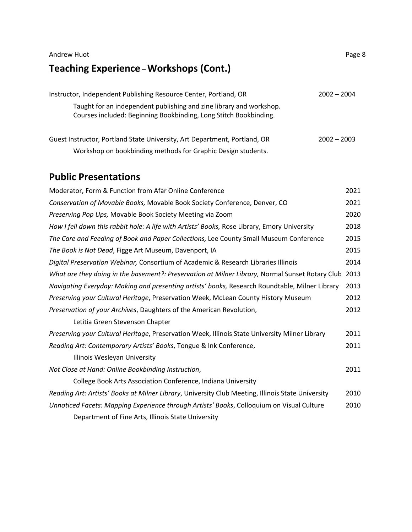## Andrew Huot Page 8 **Teaching Experience** – **Workshops (Cont.)**

| Instructor, Independent Publishing Resource Center, Portland, OR                                                                         | $2002 - 2004$ |
|------------------------------------------------------------------------------------------------------------------------------------------|---------------|
| Taught for an independent publishing and zine library and workshop.<br>Courses included: Beginning Bookbinding, Long Stitch Bookbinding. |               |
| Guest Instructor, Portland State University, Art Department, Portland, OR                                                                | $2002 - 2003$ |
| Workshop on bookbinding methods for Graphic Design students.                                                                             |               |

### **Public Presentations**

| Moderator, Form & Function from Afar Online Conference                                            | 2021 |
|---------------------------------------------------------------------------------------------------|------|
| Conservation of Movable Books, Movable Book Society Conference, Denver, CO                        | 2021 |
| Preserving Pop Ups, Movable Book Society Meeting via Zoom                                         | 2020 |
| How I fell down this rabbit hole: A life with Artists' Books, Rose Library, Emory University      | 2018 |
| The Care and Feeding of Book and Paper Collections, Lee County Small Museum Conference            | 2015 |
| The Book is Not Dead, Figge Art Museum, Davenport, IA                                             | 2015 |
| Digital Preservation Webinar, Consortium of Academic & Research Libraries Illinois                | 2014 |
| What are they doing in the basement?: Preservation at Milner Library, Normal Sunset Rotary Club   | 2013 |
| Navigating Everyday: Making and presenting artists' books, Research Roundtable, Milner Library    | 2013 |
| Preserving your Cultural Heritage, Preservation Week, McLean County History Museum                | 2012 |
| Preservation of your Archives, Daughters of the American Revolution,                              | 2012 |
| Letitia Green Stevenson Chapter                                                                   |      |
| Preserving your Cultural Heritage, Preservation Week, Illinois State University Milner Library    | 2011 |
| Reading Art: Contemporary Artists' Books, Tongue & Ink Conference,                                | 2011 |
| Illinois Wesleyan University                                                                      |      |
| Not Close at Hand: Online Bookbinding Instruction,                                                | 2011 |
| College Book Arts Association Conference, Indiana University                                      |      |
| Reading Art: Artists' Books at Milner Library, University Club Meeting, Illinois State University | 2010 |
| Unnoticed Facets: Mapping Experience through Artists' Books, Colloquium on Visual Culture         | 2010 |
| Department of Fine Arts, Illinois State University                                                |      |
|                                                                                                   |      |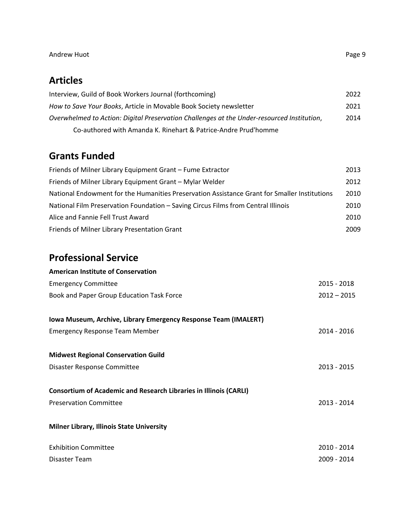## **Articles**

| Interview, Guild of Book Workers Journal (forthcoming)                                     | 2022 |
|--------------------------------------------------------------------------------------------|------|
| How to Save Your Books, Article in Movable Book Society newsletter                         | 2021 |
| Overwhelmed to Action: Digital Preservation Challenges at the Under-resourced Institution, | 2014 |
| Co-authored with Amanda K. Rinehart & Patrice-Andre Prud'homme                             |      |

## **Grants Funded**

| Friends of Milner Library Equipment Grant - Fume Extractor                                   | 2013 |
|----------------------------------------------------------------------------------------------|------|
| Friends of Milner Library Equipment Grant - Mylar Welder                                     | 2012 |
| National Endowment for the Humanities Preservation Assistance Grant for Smaller Institutions | 2010 |
| National Film Preservation Foundation - Saving Circus Films from Central Illinois            | 2010 |
| Alice and Fannie Fell Trust Award                                                            | 2010 |
| Friends of Milner Library Presentation Grant                                                 | 2009 |

## **Professional Service**

| 2015 - 2018   |
|---------------|
| $2012 - 2015$ |
|               |
| 2014 - 2016   |
|               |
| 2013 - 2015   |
|               |
| 2013 - 2014   |
|               |
| 2010 - 2014   |
| 2009 - 2014   |
|               |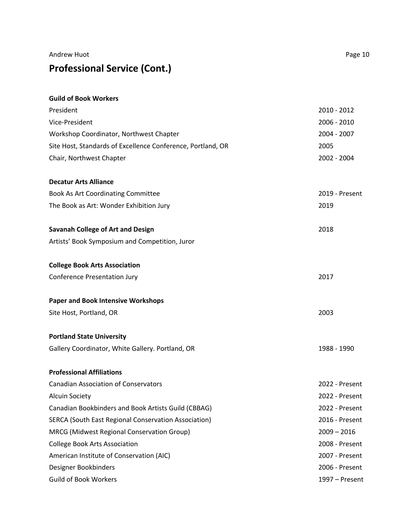# **Professional Service (Cont.)**

| <b>Guild of Book Workers</b>                                |                |
|-------------------------------------------------------------|----------------|
| President                                                   | 2010 - 2012    |
| Vice-President                                              | 2006 - 2010    |
| Workshop Coordinator, Northwest Chapter                     | 2004 - 2007    |
| Site Host, Standards of Excellence Conference, Portland, OR | 2005           |
| Chair, Northwest Chapter                                    | 2002 - 2004    |
| <b>Decatur Arts Alliance</b>                                |                |
| Book As Art Coordinating Committee                          | 2019 - Present |
| The Book as Art: Wonder Exhibition Jury                     | 2019           |
| <b>Savanah College of Art and Design</b>                    | 2018           |
| Artists' Book Symposium and Competition, Juror              |                |
| <b>College Book Arts Association</b>                        |                |
| <b>Conference Presentation Jury</b>                         | 2017           |
| <b>Paper and Book Intensive Workshops</b>                   |                |
| Site Host, Portland, OR                                     | 2003           |
| <b>Portland State University</b>                            |                |
| Gallery Coordinator, White Gallery. Portland, OR            | 1988 - 1990    |
| <b>Professional Affiliations</b>                            |                |
| <b>Canadian Association of Conservators</b>                 | 2022 - Present |
| <b>Alcuin Society</b>                                       | 2022 - Present |
| Canadian Bookbinders and Book Artists Guild (CBBAG)         | 2022 - Present |
| SERCA (South East Regional Conservation Association)        | 2016 - Present |
| MRCG (Midwest Regional Conservation Group)                  | $2009 - 2016$  |
| <b>College Book Arts Association</b>                        | 2008 - Present |
| American Institute of Conservation (AIC)                    | 2007 - Present |
| Designer Bookbinders                                        | 2006 - Present |
| <b>Guild of Book Workers</b>                                | 1997 - Present |